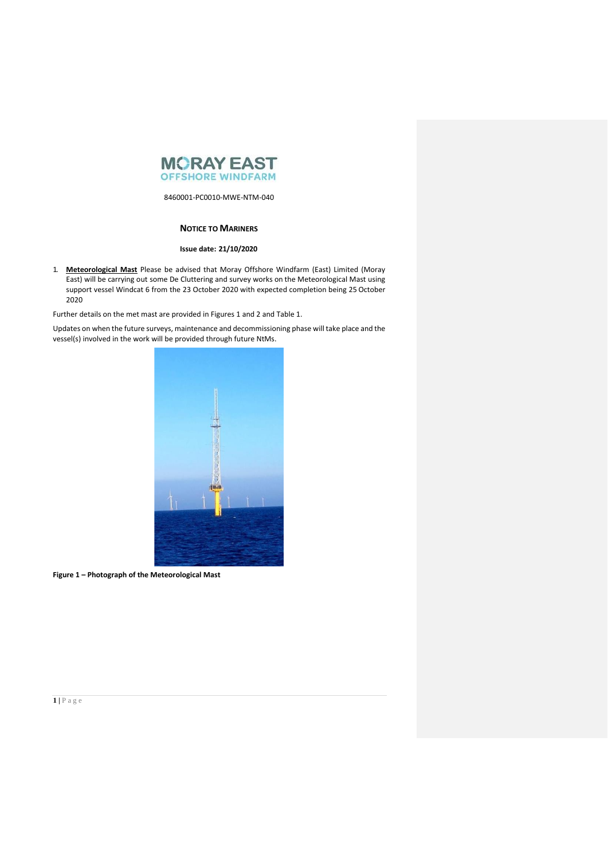

### **NOTICE TO MARINERS**

### **Issue date: 21/10/2020**

1. **Meteorological Mast** Please be advised that Moray Offshore Windfarm (East) Limited (Moray East) will be carrying out some De Cluttering and survey works on the Meteorological Mast using support vessel Windcat 6 from the 23 October 2020 with expected completion being 25 October 2020

Further details on the met mast are provided in Figures 1 and 2 and Table 1.

Updates on when the future surveys, maintenance and decommissioning phase will take place and the vessel(s) involved in the work will be provided through future NtMs.



**Figure 1 – Photograph of the Meteorological Mast**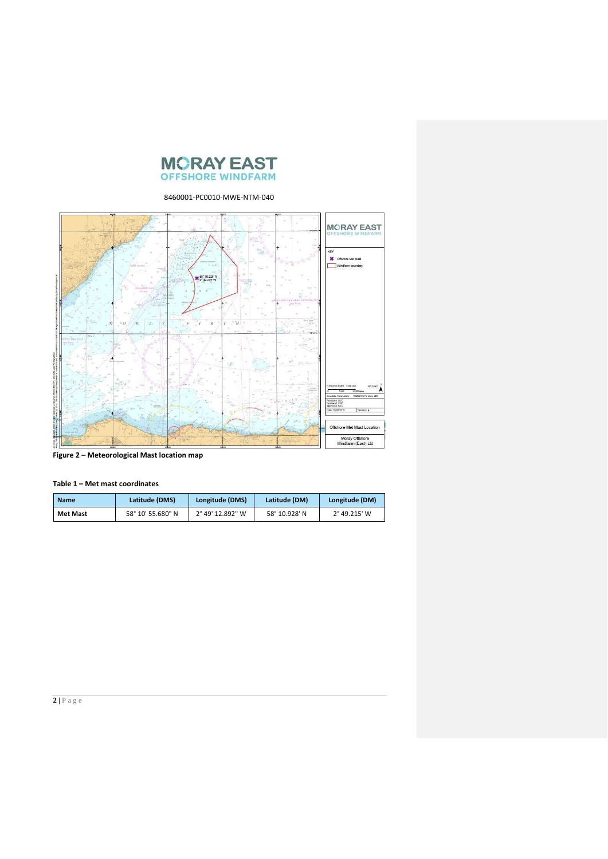



**Figure 2 – Meteorological Mast location map** 

| <b>Name</b> | Latitude (DMS)    | Longitude (DMS)  | Latitude (DM) | Longitude (DM) |
|-------------|-------------------|------------------|---------------|----------------|
| Met Mast    | 58° 10′ 55.680″ N | 2° 49' 12.892" W | 58° 10.928' N | 2° 49.215' W   |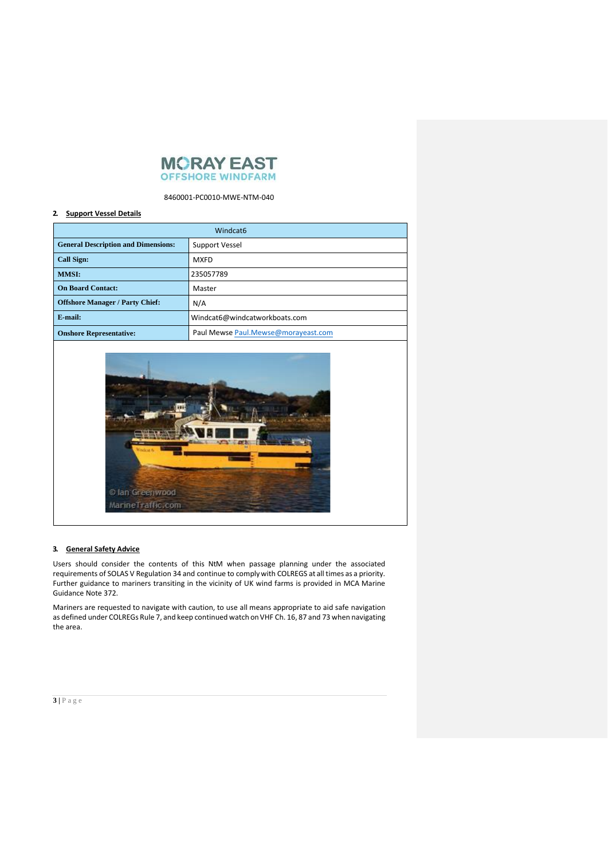

#### **2. Support Vessel Details**

| Windcat <sub>6</sub>                       |                                     |  |  |  |
|--------------------------------------------|-------------------------------------|--|--|--|
| <b>General Description and Dimensions:</b> | Support Vessel                      |  |  |  |
| <b>Call Sign:</b>                          | <b>MXFD</b>                         |  |  |  |
| <b>MMSI:</b>                               | 235057789                           |  |  |  |
| <b>On Board Contact:</b>                   | Master                              |  |  |  |
| <b>Offshore Manager / Party Chief:</b>     | N/A                                 |  |  |  |
| E-mail:                                    | Windcat6@windcatworkboats.com       |  |  |  |
| <b>Onshore Representative:</b>             | Paul Mewse Paul.Mewse@morayeast.com |  |  |  |



#### **3. General Safety Advice**

Users should consider the contents of this NtM when passage planning under the associated requirements of SOLAS V Regulation 34 and continue to complywith COLREGS at all times as a priority. Further guidance to mariners transiting in the vicinity of UK wind farms is provided in MCA Marine Guidance Note 372.

Mariners are requested to navigate with caution, to use all means appropriate to aid safe navigation as defined under COLREGs Rule 7, and keep continued watch on VHF Ch. 16, 87 and 73 when navigating the area.

# **3 |** P a g e